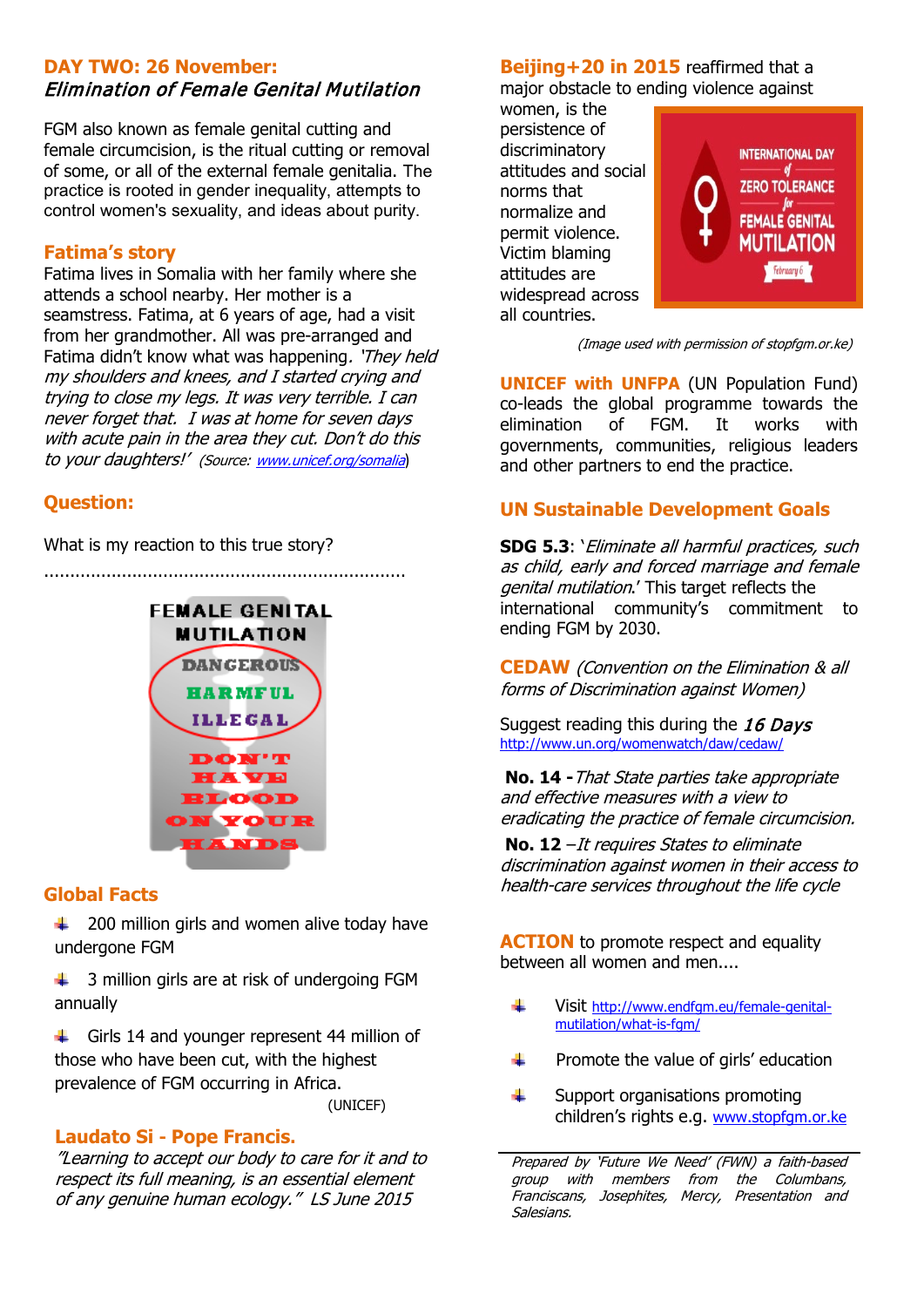## **DAY TWO: 26 November:** Elimination of Female Genital Mutilation

FGM also known as female genital cutting and female circumcision, is the ritual cutting or removal of some, or all of the external female genitalia. The practice is rooted in gender inequality, attempts to control women's sexuality, and ideas about purity.

#### **Fatima's story**

Fatima lives in Somalia with her family where she attends a school nearby. Her mother is a seamstress. Fatima, at 6 years of age, had a visit from her grandmother. All was pre-arranged and Fatima didn't know what was happening. 'They held my shoulders and knees, and I started crying and trying to close my legs. It was very terrible. I can never forget that. I was at home for seven days with acute pain in the area they cut. Don't do this to your daughters!' (Source: [www.unicef.org/somalia](http://www.unicef.org/somalia))

## **Question:**

What is my reaction to this true story?

......................................................................



### **Global Facts**

₩., 200 million girls and women alive today have undergone FGM

3 million girls are at risk of undergoing FGM annually

 $\ddot{\phantom{1}}$  Girls 14 and younger represent 44 million of those who have been cut, with the highest prevalence of FGM occurring in Africa. (UNICEF)

#### **Laudato Si - Pope Francis.**

"Learning to accept our body to care for it and to respect its full meaning, is an essential element of any genuine human ecology." LS June 2015

**Beijing+20 in 2015** reaffirmed that a major obstacle to ending violence against

women, is the persistence of discriminatory attitudes and social norms that normalize and permit violence. Victim blaming attitudes are widespread across all countries.



(Image used with permission of stopfgm.or.ke)

**UNICEF with UNFPA** (UN Population Fund) co-leads the global programme towards the elimination of FGM. It works with governments, communities, religious leaders and other partners to end the practice.

## **UN Sustainable Development Goals**

**SDG 5.3**: 'Eliminate all harmful practices, such as child, early and forced marriage and female genital mutilation.' This target reflects the international community's commitment to ending FGM by 2030.

**CEDAW** (Convention on the Elimination & all forms of Discrimination against Women)

Suggest reading this during the 16 Days <http://www.un.org/womenwatch/daw/cedaw/>

**No. 14 -**That State parties take appropriate and effective measures with a view to eradicating the practice of female circumcision.

**No. 12** –It requires States to eliminate discrimination against women in their access to health-care services throughout the life cycle

**ACTION** to promote respect and equality between all women and men....

- d. Visit [http://www.endfgm.eu/female-genital](http://www.endfgm.eu/female-genital-mutilation/what-is-fgm/)[mutilation/what-is-fgm/](http://www.endfgm.eu/female-genital-mutilation/what-is-fgm/)
- 4 Promote the value of girls' education
- 4 Support organisations promoting children's rights e.g. [www.stopfgm.or.ke](http://www.stopfgm.or.ke/)

Prepared by 'Future We Need' (FWN) a faith-based group with members from the Columbans, Franciscans, Josephites, Mercy, Presentation and Salesians.